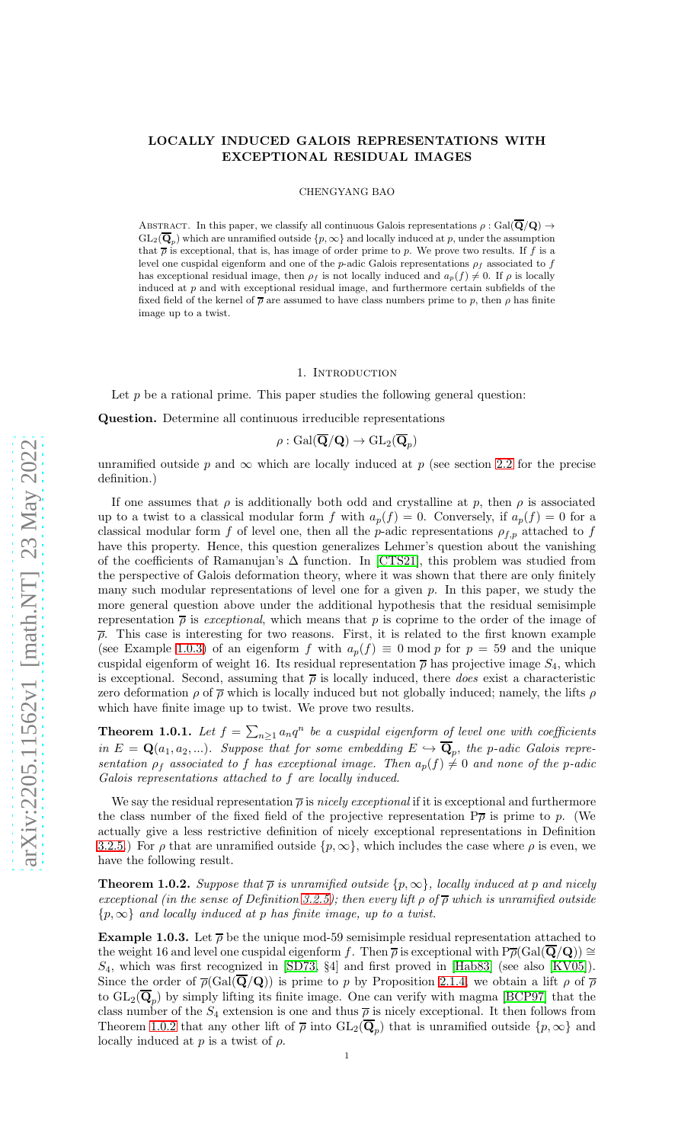# LOCALLY INDUCED GALOIS REPRESENTATIONS WITH EXCEPTIONAL RESIDUAL IMAGES

#### CHENGYANG BAO

ABSTRACT. In this paper, we classify all continuous Galois representations  $\rho: Gal(\overline{\mathbf{Q}}/\mathbf{Q}) \to$  $\mathrm{GL}_2(\overline{\mathbf{Q}}_p)$  which are unramified outside  $\{p,\infty\}$  and locally induced at  $p,$  under the assumption that  $\bar{\rho}$  is exceptional, that is, has image of order prime to p. We prove two results. If f is a level one cuspidal eigenform and one of the *p*-adic Galois representations  $\rho_f$  associated to *f* has exceptional residual image, then  $\rho_f$  is not locally induced and  $a_p(f) \neq 0$ . If  $\rho$  is locally induced at p and with exceptional residual image, and furthermore certain subfields of the fixed field of the kernel of  $\bar{\rho}$  are assumed to have class numbers prime to p, then  $\rho$  has finite image up to a twist.

#### 1. INTRODUCTION

Let p be a rational prime. This paper studies the following general question:

Question. Determine all continuous irreducible representations

$$
\rho: \operatorname{Gal}(\overline{\mathbf{Q}}/\mathbf{Q}) \to \operatorname{GL}_2(\overline{\mathbf{Q}}_p)
$$

unramified outside p and  $\infty$  which are locally induced at p (see section [2.2](#page-2-0) for the precise definition.)

If one assumes that  $\rho$  is additionally both odd and crystalline at p, then  $\rho$  is associated up to a twist to a classical modular form f with  $a_p(f) = 0$ . Conversely, if  $a_p(f) = 0$  for a classical modular form f of level one, then all the p-adic representations  $\rho_{f,p}$  attached to f have this property. Hence, this question generalizes Lehmer's question about the vanishing of the coefficients of Ramanujan's ∆ function. In [\[CTS21\]](#page-9-0), this problem was studied from the perspective of Galois deformation theory, where it was shown that there are only finitely many such modular representations of level one for a given  $p$ . In this paper, we study the more general question above under the additional hypothesis that the residual semisimple representation  $\bar{\rho}$  is *exceptional*, which means that p is coprime to the order of the image of  $\bar{\rho}$ . This case is interesting for two reasons. First, it is related to the first known example (see Example [1.0.3\)](#page-0-0) of an eigenform f with  $a_p(f) \equiv 0 \mod p$  for  $p = 59$  and the unique cuspidal eigenform of weight 16. Its residual representation  $\overline{\rho}$  has projective image  $S_4$ , which is exceptional. Second, assuming that  $\bar{\rho}$  is locally induced, there *does* exist a characteristic zero deformation  $\rho$  of  $\overline{\rho}$  which is locally induced but not globally induced; namely, the lifts  $\rho$ which have finite image up to twist. We prove two results.

<span id="page-0-2"></span>**Theorem 1.0.1.** Let  $f = \sum_{n\geq 1} a_n q^n$  be a cuspidal eigenform of level one with coefficients in  $E = \mathbf{Q}(a_1, a_2, ...)$ . Suppose that for some embedding  $E \hookrightarrow \mathbf{Q}_p$ , the p-adic Galois representation  $\rho_f$  associated to f has exceptional image. Then  $a_p(f) \neq 0$  and none of the p-adic Galois representations attached to f are locally induced.

We say the residual representation  $\overline{\rho}$  is *nicely exceptional* if it is exceptional and furthermore the class number of the fixed field of the projective representation  $P\overline{\rho}$  is prime to p. (We actually give a less restrictive definition of nicely exceptional representations in Definition [3.2.5.](#page-7-0)) For  $\rho$  that are unramified outside  $\{p,\infty\}$ , which includes the case where  $\rho$  is even, we have the following result.

<span id="page-0-1"></span>**Theorem 1.0.2.** Suppose that  $\overline{\rho}$  is unramified outside  $\{p, \infty\}$ , locally induced at p and nicely exceptional (in the sense of Definition [3.2.5\)](#page-7-0); then every lift  $\rho$  of  $\overline{\rho}$  which is unramified outside  $\{p,\infty\}$  and locally induced at p has finite image, up to a twist.

<span id="page-0-0"></span>**Example 1.0.3.** Let  $\bar{\rho}$  be the unique mod-59 semisimple residual representation attached to the weight 16 and level one cuspidal eigenform f. Then  $\overline{\rho}$  is exceptional with  $P\overline{\rho}(\text{Gal}(Q/Q)) \cong$ S4, which was first recognized in [\[SD73,](#page-9-1) §4] and first proved in [\[Hab83\]](#page-9-2) (see also [\[KV05\]](#page-9-3)). Since the order of  $\overline{\rho}(\text{Gal}(Q/Q))$  is prime to p by Proposition [2.1.4,](#page-2-1) we obtain a lift  $\rho$  of  $\overline{\rho}$ to  $GL_2(\mathbf{Q}_p)$  by simply lifting its finite image. One can verify with magma [\[BCP97\]](#page-9-4) that the class number of the  $S_4$  extension is one and thus  $\overline{\rho}$  is nicely exceptional. It then follows from Theorem [1.0.2](#page-0-1) that any other lift of  $\bar{\rho}$  into  $GL_2(\mathbf{Q}_p)$  that is unramified outside  $\{p,\infty\}$  and locally induced at  $p$  is a twist of  $\rho$ .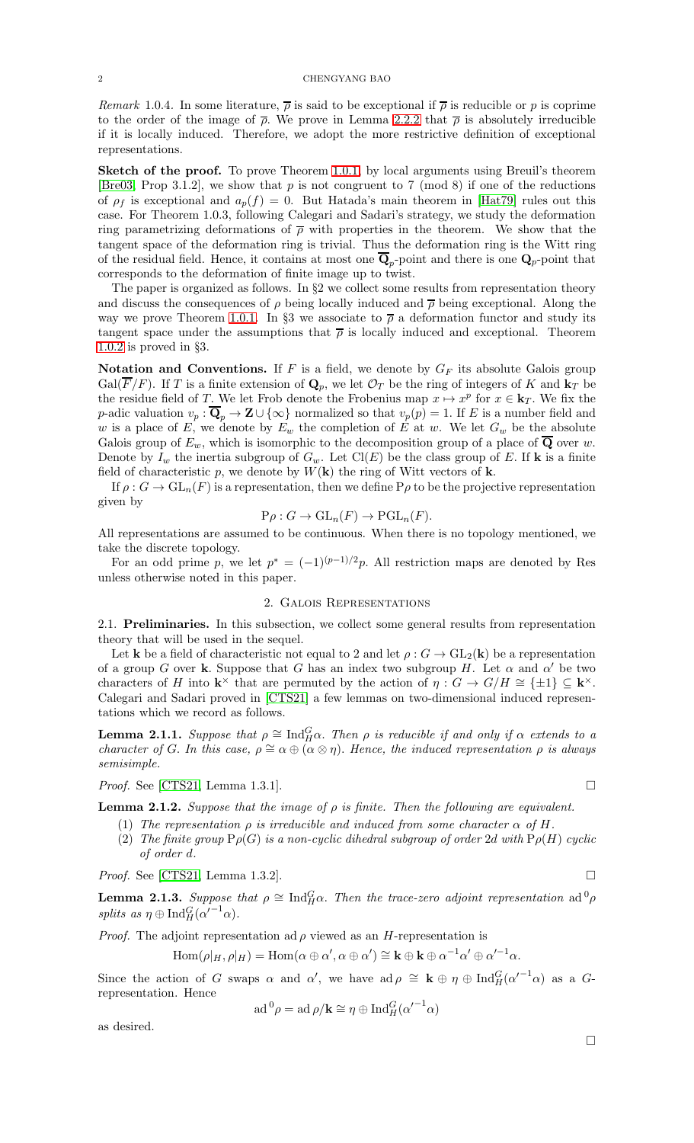#### 2 CHENGYANG BAO

Remark 1.0.4. In some literature,  $\bar{\rho}$  is said to be exceptional if  $\bar{\rho}$  is reducible or p is coprime to the order of the image of  $\bar{\rho}$ . We prove in Lemma [2.2.2](#page-2-2) that  $\bar{\rho}$  is absolutely irreducible if it is locally induced. Therefore, we adopt the more restrictive definition of exceptional representations.

Sketch of the proof. To prove Theorem [1.0.1,](#page-0-2) by local arguments using Breuil's theorem [\[Bre03,](#page-9-5) Prop 3.1.2], we show that  $p$  is not congruent to 7 (mod 8) if one of the reductions of  $\rho_f$  is exceptional and  $a_p(f) = 0$ . But Hatada's main theorem in [\[Hat79\]](#page-9-6) rules out this case. For Theorem 1.0.3, following Calegari and Sadari's strategy, we study the deformation ring parametrizing deformations of  $\bar{\rho}$  with properties in the theorem. We show that the tangent space of the deformation ring is trivial. Thus the deformation ring is the Witt ring of the residual field. Hence, it contains at most one  $\mathbf{Q}_p$ -point and there is one  $\mathbf{Q}_p$ -point that corresponds to the deformation of finite image up to twist.

The paper is organized as follows. In §2 we collect some results from representation theory and discuss the consequences of  $\rho$  being locally induced and  $\overline{\rho}$  being exceptional. Along the way we prove Theorem [1.0.1.](#page-0-2) In §3 we associate to  $\bar{\rho}$  a deformation functor and study its tangent space under the assumptions that  $\bar{\rho}$  is locally induced and exceptional. Theorem [1.0.2](#page-0-1) is proved in §3.

Notation and Conventions. If  $F$  is a field, we denote by  $G_F$  its absolute Galois group  $Gal(\overline{F}/F)$ . If T is a finite extension of  $\mathbf{Q}_p$ , we let  $\mathcal{O}_T$  be the ring of integers of K and  $\mathbf{k}_T$  be the residue field of T. We let Frob denote the Frobenius map  $x \mapsto x^p$  for  $x \in \mathbf{k}_T$ . We fix the p-adic valuation  $v_p : \overline{Q}_p \to Z \cup \{\infty\}$  normalized so that  $v_p(p) = 1$ . If E is a number field and w is a place of E, we denote by  $E_w$  the completion of E at w. We let  $G_w$  be the absolute Galois group of  $E_w$ , which is isomorphic to the decomposition group of a place of  $\overline{Q}$  over w. Denote by  $I_w$  the inertia subgroup of  $G_w$ . Let  $Cl(E)$  be the class group of E. If **k** is a finite field of characteristic p, we denote by  $W(\mathbf{k})$  the ring of Witt vectors of **k**.

If  $\rho: G \to \text{GL}_n(F)$  is a representation, then we define P $\rho$  to be the projective representation given by

$$
\mathrm{P}\rho: G \to \mathrm{GL}_n(F) \to \mathrm{PGL}_n(F).
$$

All representations are assumed to be continuous. When there is no topology mentioned, we take the discrete topology.

For an odd prime p, we let  $p^* = (-1)^{(p-1)/2}p$ . All restriction maps are denoted by Res unless otherwise noted in this paper.

## 2. Galois Representations

<span id="page-1-1"></span>2.1. Preliminaries. In this subsection, we collect some general results from representation theory that will be used in the sequel.

Let **k** be a field of characteristic not equal to 2 and let  $\rho : G \to GL_2(k)$  be a representation of a group G over k. Suppose that G has an index two subgroup H. Let  $\alpha$  and  $\alpha'$  be two characters of H into  $\mathbf{k}^{\times}$  that are permuted by the action of  $\eta : G \to G/H \cong {\pm 1} \subseteq \mathbf{k}^{\times}$ . Calegari and Sadari proved in [\[CTS21\]](#page-9-0) a few lemmas on two-dimensional induced representations which we record as follows.

<span id="page-1-0"></span>**Lemma 2.1.1.** Suppose that  $\rho \cong \text{Ind}_{H}^{G} \alpha$ . Then  $\rho$  is reducible if and only if  $\alpha$  extends to a character of G. In this case,  $\rho \cong \alpha \oplus (\alpha \otimes \eta)$ . Hence, the induced representation  $\rho$  is always semisimple.

*Proof.* See [\[CTS21,](#page-9-0) Lemma 1.3.1].

<span id="page-1-2"></span>**Lemma 2.1.2.** Suppose that the image of  $\rho$  is finite. Then the following are equivalent.

(1) The representation  $\rho$  is irreducible and induced from some character  $\alpha$  of H.

(2) The finite group  $P\rho(G)$  is a non-cyclic dihedral subgroup of order 2d with  $P\rho(H)$  cyclic of order d.

*Proof.* See [\[CTS21,](#page-9-0) Lemma 1.3.2].

<span id="page-1-3"></span>**Lemma 2.1.3.** Suppose that  $\rho \cong \text{Ind}_{H}^{G} \alpha$ . Then the trace-zero adjoint representation ad  ${}^{0}\rho$ splits as  $\eta \oplus \text{Ind}_{H}^{G}(\alpha'^{-1}\alpha)$ .

*Proof.* The adjoint representation ad  $\rho$  viewed as an *H*-representation is

$$
\operatorname{Hom}(\rho|_H, \rho|_H) = \operatorname{Hom}(\alpha \oplus \alpha', \alpha \oplus \alpha') \cong \mathbf{k} \oplus \mathbf{k} \oplus \alpha^{-1} \alpha' \oplus \alpha'^{-1} \alpha.
$$

Since the action of G swaps  $\alpha$  and  $\alpha'$ , we have  $\text{ad } \rho \cong \mathbf{k} \oplus \eta \oplus \text{Ind}_{H}^{G}(\alpha'^{-1}\alpha)$  as a Grepresentation. Hence

$$
\operatorname{ad}^0 \rho = \operatorname{ad} \rho / \mathbf{k} \cong \eta \oplus \operatorname{Ind}_H^G (\alpha'^{-1} \alpha)
$$

as desired.

$$
\Box
$$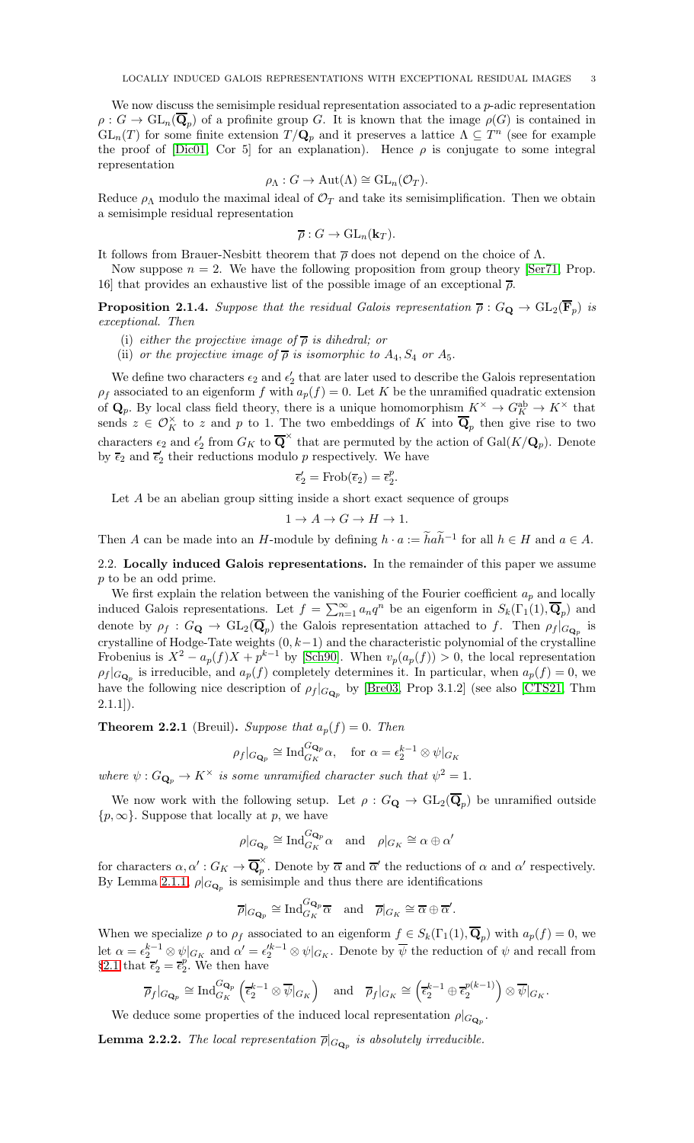We now discuss the semisimple residual representation associated to a  $p$ -adic representation  $\rho: G \to \text{GL}_n(\overline{\mathbf{Q}}_p)$  of a profinite group G. It is known that the image  $\rho(G)$  is contained in  $GL_n(T)$  for some finite extension  $T/\mathbf{Q}_p$  and it preserves a lattice  $\Lambda \subseteq T^n$  (see for example the proof of [\[Dic01,](#page-9-7) Cor 5] for an explanation). Hence  $\rho$  is conjugate to some integral representation

$$
\rho_{\Lambda}: G \to \mathrm{Aut}(\Lambda) \cong \mathrm{GL}_n(\mathcal{O}_T).
$$

Reduce  $\rho_{\Lambda}$  modulo the maximal ideal of  $\mathcal{O}_T$  and take its semisimplification. Then we obtain a semisimple residual representation

$$
\overline{\rho}: G \to \mathrm{GL}_n(\mathbf{k}_T).
$$

It follows from Brauer-Nesbitt theorem that  $\bar{\rho}$  does not depend on the choice of  $\Lambda$ .

Now suppose  $n = 2$ . We have the following proposition from group theory [\[Ser71,](#page-9-8) Prop. 16] that provides an exhaustive list of the possible image of an exceptional  $\bar{\rho}$ .

<span id="page-2-1"></span>**Proposition 2.1.4.** Suppose that the residual Galois representation  $\bar{\rho}: G_{\mathbf{Q}} \to GL_2(\mathbf{F}_p)$  is exceptional. Then

- (i) either the projective image of  $\overline{\rho}$  is dihedral; or
- (ii) or the projective image of  $\overline{\rho}$  is isomorphic to  $A_4, S_4$  or  $A_5$ .

We define two characters  $\epsilon_2$  and  $\epsilon'_2$  that are later used to describe the Galois representation  $\rho_f$  associated to an eigenform f with  $a_p(f) = 0$ . Let K be the unramified quadratic extension of  $\mathbf{Q}_p$ . By local class field theory, there is a unique homomorphism  $K^{\times} \to G_K^{\text{ab}} \to K^{\times}$  that sends  $z \in \mathcal{O}_K^{\times}$  to z and p to 1. The two embeddings of K into  $\overline{\mathbf{Q}}_p$  then give rise to two characters  $\epsilon_2$  and  $\epsilon'_2$  from  $G_K$  to  $\overline{\mathbf{Q}}^{\times}$  that are permuted by the action of  $Gal(K/\mathbf{Q}_p)$ . Denote by  $\overline{\epsilon}_2$  and  $\overline{\epsilon}'_2$  their reductions modulo p respectively. We have

$$
\overline{\epsilon}_2' = \mathrm{Frob}(\overline{\epsilon}_2) = \overline{\epsilon}_2^p.
$$

Let A be an abelian group sitting inside a short exact sequence of groups

$$
1 \to A \to G \to H \to 1.
$$

<span id="page-2-0"></span>Then A can be made into an H-module by defining  $h \cdot a := \tilde{h} a \tilde{h}^{-1}$  for all  $h \in H$  and  $a \in A$ .

2.2. Locally induced Galois representations. In the remainder of this paper we assume p to be an odd prime.

We first explain the relation between the vanishing of the Fourier coefficient  $a_p$  and locally induced Galois representations. Let  $f = \sum_{n=1}^{\infty} a_n q^n$  be an eigenform in  $S_k(\Gamma_1(1), \overline{Q}_p)$  and denote by  $\rho_f$  :  $G_Q \to GL_2(\overline{Q}_p)$  the Galois representation attached to f. Then  $\rho_f|_{G_{\mathbf{Q}_p}}$  is crystalline of Hodge-Tate weights  $(0, k-1)$  and the characteristic polynomial of the crystalline Frobenius is  $X^2 - a_p(f)X + p^{k-1}$  by [\[Sch90\]](#page-9-9). When  $v_p(a_p(f)) > 0$ , the local representation  $\rho_f |_{G_{\mathbf{Q}_p}}$  is irreducible, and  $a_p(f)$  completely determines it. In particular, when  $a_p(f) = 0$ , we have the following nice description of  $\rho_f|_{G_{\mathbf{Q}_p}}$  by [\[Bre03,](#page-9-5) Prop 3.1.2] (see also [\[CTS21,](#page-9-0) Thm  $2.1.1$ ]).

**Theorem 2.2.1** (Breuil). Suppose that  $a_p(f) = 0$ . Then

$$
\rho_f|_{G_{\mathbf{Q}_p}} \cong \operatorname{Ind}_{G_K}^{G_{\mathbf{Q}_p}} \alpha, \quad \text{for } \alpha = \epsilon_2^{k-1} \otimes \psi|_{G_K}
$$

where  $\psi$ :  $G_{\mathbf{Q}_p} \to K^{\times}$  is some unramified character such that  $\psi^2 = 1$ .

We now work with the following setup. Let  $\rho: G_{\mathbf{Q}} \to GL_2(\mathbf{Q}_p)$  be unramified outside  $\{p,\infty\}$ . Suppose that locally at p, we have

$$
\rho|_{G_{\mathbf{Q}_p}} \cong \operatorname{Ind}_{G_K}^{G_{\mathbf{Q}_p}} \alpha \quad \text{and} \quad \rho|_{G_K} \cong \alpha \oplus \alpha'
$$

for characters  $\alpha, \alpha': G_K \to \overline{\mathbf{Q}}_p^{\times}$  $_{p}^{\times}$ . Denote by  $\overline{\alpha}$  and  $\overline{\alpha}'$  the reductions of  $\alpha$  and  $\alpha'$  respectively. By Lemma [2.1.1,](#page-1-0)  $\rho|_{G_{\mathbf{Q}_p}}$  is semisimple and thus there are identifications

$$
\overline{\rho}|_{G_{\mathbf{Q}_p}} \cong \text{Ind}_{G_K}^{G_{\mathbf{Q}_p}} \overline{\alpha} \text{ and } \overline{\rho}|_{G_K} \cong \overline{\alpha} \oplus \overline{\alpha}'.
$$

When we specialize  $\rho$  to  $\rho_f$  associated to an eigenform  $f \in S_k(\Gamma_1(1), \mathbf{Q}_p)$  with  $a_p(f) = 0$ , we let  $\alpha = \epsilon_2^{k-1} \otimes \psi|_{G_K}$  and  $\alpha' = \epsilon_2'^{k-1} \otimes \psi|_{G_K}$ . Denote by  $\overline{\psi}$  the reduction of  $\psi$  and recall from §[2.1](#page-1-1) that  $\overline{\epsilon}'_2 = \overline{\epsilon}_2^p$  $2^p$ . We then have

$$
\overline{\rho}_f|_{G_{\mathbf{Q}_p}} \cong \mathrm{Ind}_{G_K}^{G_{\mathbf{Q}_p}}\left(\overline{\epsilon}_2^{k-1} \otimes \overline{\psi}|_{G_K}\right) \quad \text{and} \quad \overline{\rho}_f|_{G_K} \cong \left(\overline{\epsilon}_2^{k-1} \oplus \overline{\epsilon}_2^{p(k-1)}\right) \otimes \overline{\psi}|_{G_K}.
$$

We deduce some properties of the induced local representation  $\rho|_{G_{\mathbf{Q}_p}}$ .

<span id="page-2-2"></span>**Lemma 2.2.2.** The local representation  $\overline{\rho}|_{G_{\mathbf{Q}_p}}$  is absolutely irreducible.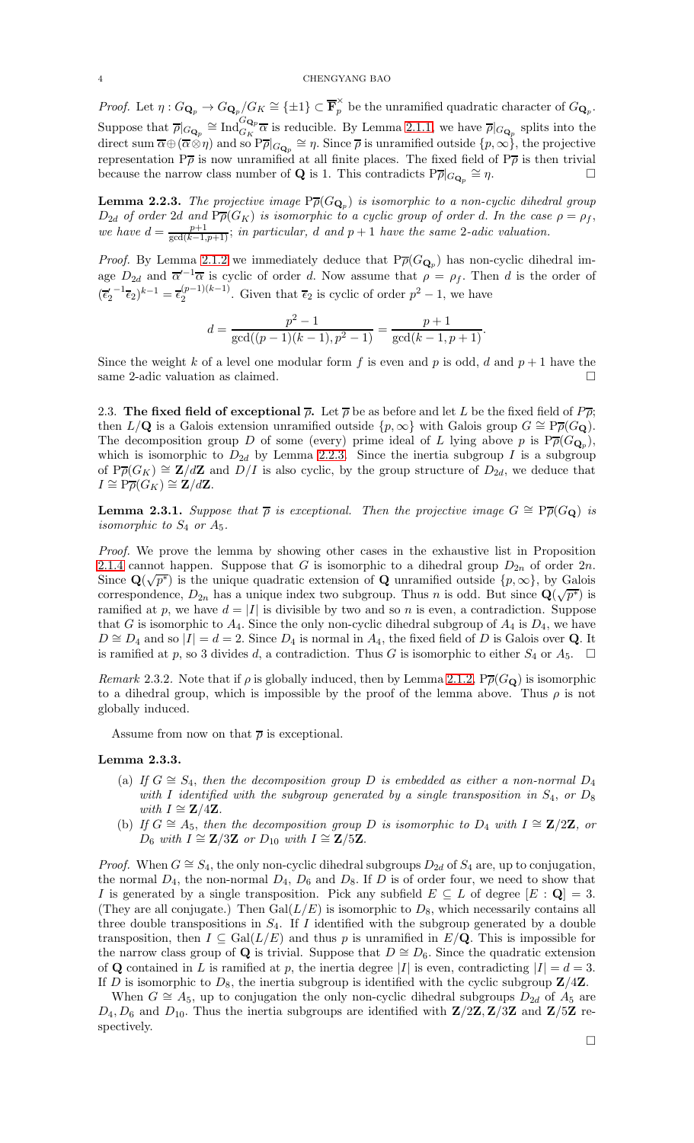#### 4 CHENGYANG BAO

Proof. Let  $\eta: G_{\mathbf{Q}_p} \to G_{\mathbf{Q}_p}/G_K \cong {\{\pm 1\}} \subset \overline{\mathbf{F}}_p^{\times}$  be the unramified quadratic character of  $G_{\mathbf{Q}_p}$ . Suppose that  $\overline{\rho}|_{G_{\mathbf{Q}_p}} \cong \text{Ind}_{G_K}^{G_{\mathbf{Q}_p}} \overline{\alpha}$  is reducible. By Lemma [2.1.1,](#page-1-0) we have  $\overline{\rho}|_{G_{\mathbf{Q}_p}}$  splits into the direct sum  $\overline{\alpha} \oplus (\overline{\alpha} \otimes \eta)$  and so  $P\overline{\rho}|_{G_{\mathbf{Q}_p}} \cong \eta$ . Since  $\overline{\rho}$  is unramified outside  $\{p, \infty\}$ , the projective representation  $P\overline{\rho}$  is now unramified at all finite places. The fixed field of  $P\overline{\rho}$  is then trivial because the narrow class number of **Q** is 1. This contradicts  $P\overline{\rho}|_{G_{\mathbf{Q}_p}} \cong \eta$ .

<span id="page-3-0"></span>**Lemma 2.2.3.** The projective image  $P\overline{\rho}(G_{\mathbf{Q}_p})$  is isomorphic to a non-cyclic dihedral group  $D_{2d}$  of order 2d and  $P\overline{\rho}(G_K)$  is isomorphic to a cyclic group of order d. In the case  $\rho = \rho_f$ , we have  $d = \frac{p+1}{\gcd(k-1,p+1)}$ ; in particular, d and  $p+1$  have the same 2-adic valuation.

*Proof.* By Lemma [2.1.2](#page-1-2) we immediately deduce that  $P\overline{\rho}(G_{\mathbf{Q}_p})$  has non-cyclic dihedral image  $D_{2d}$  and  $\overline{\alpha}^{\prime -1}\overline{\alpha}$  is cyclic of order d. Now assume that  $\rho = \rho_f$ . Then d is the order of  $(\overline{\epsilon}_2^{\prime}% )(\varepsilon_2^{\prime})$  $\overline{\epsilon}_2^{k-1} = \overline{\epsilon}_2^{(p-1)(k-1)}$  $2^{(p-1)(k-1)}$ . Given that  $\bar{\epsilon}_2$  is cyclic of order  $p^2-1$ , we have

$$
d = \frac{p^2 - 1}{\gcd((p-1)(k-1), p^2 - 1)} = \frac{p+1}{\gcd(k-1, p+1)}.
$$

Since the weight k of a level one modular form f is even and p is odd, d and  $p + 1$  have the same 2-adic valuation as claimed.

<span id="page-3-2"></span>2.3. The fixed field of exceptional  $\bar{\rho}$ . Let  $\bar{\rho}$  be as before and let L be the fixed field of  $P\bar{\rho}$ ; then  $L/\mathbf{Q}$  is a Galois extension unramified outside  $\{p,\infty\}$  with Galois group  $G \cong \overline{P_{\rho}}(G_{\mathbf{Q}})$ . The decomposition group D of some (every) prime ideal of L lying above p is  $P\overline{\rho}(G_{\mathbf{Q}_p}),$ which is isomorphic to  $D_{2d}$  by Lemma [2.2.3.](#page-3-0) Since the inertia subgroup I is a subgroup of  $P\overline{\rho}(G_K) \cong \mathbf{Z}/d\mathbf{Z}$  and  $D/I$  is also cyclic, by the group structure of  $D_{2d}$ , we deduce that  $I \cong \mathrm{P}\overline{\rho}(G_K) \cong \mathbf{Z}/d\mathbf{Z}.$ 

**Lemma 2.3.1.** Suppose that  $\bar{\rho}$  is exceptional. Then the projective image  $G \cong \overline{P_{\rho}}(G_{\mathbf{Q}})$  is isomorphic to  $S_4$  or  $A_5$ .

Proof. We prove the lemma by showing other cases in the exhaustive list in Proposition [2.1.4](#page-2-1) cannot happen. Suppose that G is isomorphic to a dihedral group  $D_{2n}$  of order  $2n$ . Since  $\mathbf{Q}(\sqrt{p^*})$  is the unique quadratic extension of **Q** unramified outside  $\{p,\infty\}$ , by Galois correspondence,  $D_{2n}$  has a unique index two subgroup. Thus n is odd. But since  $\mathbf{Q}(\sqrt{p^*})$  is ramified at p, we have  $d = |I|$  is divisible by two and so n is even, a contradiction. Suppose that G is isomorphic to  $A_4$ . Since the only non-cyclic dihedral subgroup of  $A_4$  is  $D_4$ , we have  $D \cong D_4$  and so  $|I| = d = 2$ . Since  $D_4$  is normal in  $A_4$ , the fixed field of D is Galois over Q. It is ramified at p, so 3 divides d, a contradiction. Thus G is isomorphic to either  $S_4$  or  $A_5$ .  $\Box$ 

Remark 2.3.2. Note that if  $\rho$  is globally induced, then by Lemma [2.1.2,](#page-1-2)  $P\overline{\rho}(G_{\mathbf{Q}})$  is isomorphic to a dihedral group, which is impossible by the proof of the lemma above. Thus  $\rho$  is not globally induced.

Assume from now on that  $\bar{\rho}$  is exceptional.

### <span id="page-3-1"></span>Lemma 2.3.3.

- (a) If  $G \cong S_4$ , then the decomposition group D is embedded as either a non-normal  $D_4$ with I identified with the subgroup generated by a single transposition in  $S_4$ , or  $D_8$ with  $I \cong \mathbf{Z}/4\mathbf{Z}$ .
- (b) If  $G \cong A_5$ , then the decomposition group D is isomorphic to  $D_4$  with  $I \cong \mathbb{Z}/2\mathbb{Z}$ , or  $D_6$  with  $I \cong \mathbf{Z}/3\mathbf{Z}$  or  $D_{10}$  with  $I \cong \mathbf{Z}/5\mathbf{Z}$ .

*Proof.* When  $G \cong S_4$ , the only non-cyclic dihedral subgroups  $D_{2d}$  of  $S_4$  are, up to conjugation, the normal  $D_4$ , the non-normal  $D_4$ ,  $D_6$  and  $D_8$ . If D is of order four, we need to show that I is generated by a single transposition. Pick any subfield  $E \subseteq L$  of degree  $|E : \mathbf{Q}| = 3$ . (They are all conjugate.) Then  $Gal(L/E)$  is isomorphic to  $D_8$ , which necessarily contains all three double transpositions in  $S_4$ . If I identified with the subgroup generated by a double transposition, then  $I \subseteq Gal(L/E)$  and thus p is unramified in  $E/\mathbf{Q}$ . This is impossible for the narrow class group of Q is trivial. Suppose that  $D \cong D_6$ . Since the quadratic extension of **Q** contained in L is ramified at p, the inertia degree |I| is even, contradicting  $|I| = d = 3$ . If D is isomorphic to  $D_8$ , the inertia subgroup is identified with the cyclic subgroup  $\mathbb{Z}/4\mathbb{Z}$ .

When  $G \cong A_5$ , up to conjugation the only non-cyclic dihedral subgroups  $D_{2d}$  of  $A_5$  are  $D_4, D_6$  and  $D_{10}$ . Thus the inertia subgroups are identified with  $\mathbb{Z}/2\mathbb{Z}, \mathbb{Z}/3\mathbb{Z}$  and  $\mathbb{Z}/5\mathbb{Z}$  respectively.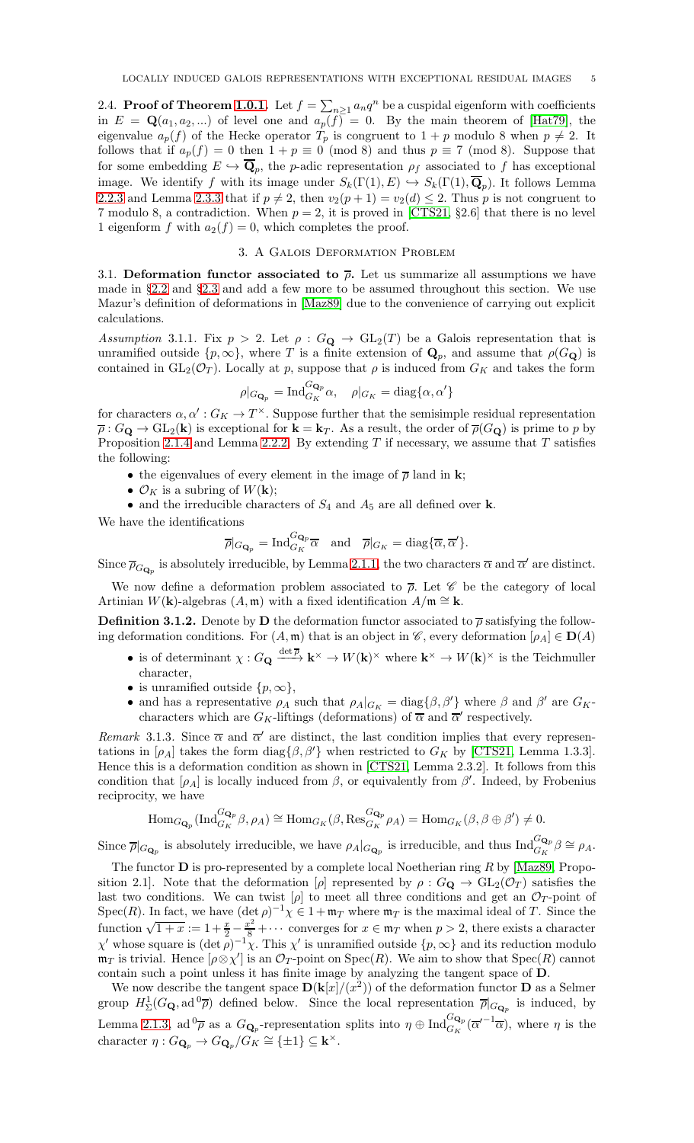2.4. **Proof of Theorem [1.0.1.](#page-0-2)** Let  $f = \sum_{n\geq 1} a_n q^n$  be a cuspidal eigenform with coefficients in  $E = \mathbf{Q}(a_1, a_2, ...)$  of level one and  $a_p(f) = 0$ . By the main theorem of [\[Hat79\]](#page-9-6), the eigenvalue  $a_p(f)$  of the Hecke operator  $T_p$  is congruent to  $1 + p$  modulo 8 when  $p \neq 2$ . It follows that if  $a_p(f) = 0$  then  $1 + p \equiv 0 \pmod{8}$  and thus  $p \equiv 7 \pmod{8}$ . Suppose that for some embedding  $E \hookrightarrow \mathbf{Q}_p$ , the *p*-adic representation  $\rho_f$  associated to f has exceptional image. We identify f with its image under  $S_k(\Gamma(1), E) \hookrightarrow S_k(\Gamma(1), \mathbf{Q}_p)$ . It follows Lemma [2.2.3](#page-3-0) and Lemma [2.3.3](#page-3-1) that if  $p \neq 2$ , then  $v_2(p + 1) = v_2(d) \leq 2$ . Thus p is not congruent to 7 modulo 8, a contradiction. When  $p = 2$ , it is proved in [\[CTS21,](#page-9-0) §2.6] that there is no level 1 eigenform f with  $a_2(f) = 0$ , which completes the proof.

## 3. A Galois Deformation Problem

<span id="page-4-1"></span>3.1. Deformation functor associated to  $\bar{\rho}$ . Let us summarize all assumptions we have made in §[2.2](#page-2-0) and §[2.3](#page-3-2) and add a few more to be assumed throughout this section. We use Mazur's definition of deformations in [\[Maz89\]](#page-9-10) due to the convenience of carrying out explicit calculations.

Assumption 3.1.1. Fix  $p > 2$ . Let  $\rho : G_{\mathbf{Q}} \to GL_2(T)$  be a Galois representation that is unramified outside  $\{p,\infty\}$ , where T is a finite extension of  $\mathbf{Q}_p$ , and assume that  $\rho(G_{\mathbf{Q}})$  is contained in  $GL_2(\mathcal{O}_T)$ . Locally at p, suppose that  $\rho$  is induced from  $G_K$  and takes the form

$$
\rho|_{G_{\mathbf{Q}_p}} = \text{Ind}_{G_K}^{G_{\mathbf{Q}_p}} \alpha, \quad \rho|_{G_K} = \text{diag}\{\alpha, \alpha'\}
$$

for characters  $\alpha, \alpha': G_K \to T^\times$ . Suppose further that the semisimple residual representation  $\overline{\rho}: G_{\mathbf{Q}} \to GL_2(\mathbf{k})$  is exceptional for  $\mathbf{k} = \mathbf{k}_T$ . As a result, the order of  $\overline{\rho}(G_{\mathbf{Q}})$  is prime to p by Proposition [2.1.4](#page-2-1) and Lemma [2.2.2.](#page-2-2) By extending  $T$  if necessary, we assume that  $T$  satisfies the following:

- the eigenvalues of every element in the image of  $\bar{\rho}$  land in k;
- $\mathcal{O}_K$  is a subring of  $W(\mathbf{k});$
- and the irreducible characters of  $S_4$  and  $A_5$  are all defined over **k**.

We have the identifications

$$
\overline{\rho}|_{G_{\mathbf{Q}_p}} = \text{Ind}_{G_K}^{G_{\mathbf{Q}_p}} \overline{\alpha} \text{ and } \overline{\rho}|_{G_K} = \text{diag}\{\overline{\alpha}, \overline{\alpha}'\}.
$$

Since  $\overline{\rho}_{G_{\mathbf{Q}_p}}$  is absolutely irreducible, by Lemma [2.1.1,](#page-1-0) the two characters  $\overline{\alpha}$  and  $\overline{\alpha}'$  are distinct.

We now define a deformation problem associated to  $\bar{\rho}$ . Let  $\mathscr{C}$  be the category of local Artinian W(k)-algebras  $(A, \mathfrak{m})$  with a fixed identification  $A/\mathfrak{m} \cong \mathbf{k}$ .

<span id="page-4-0"></span>**Definition 3.1.2.** Denote by **D** the deformation functor associated to  $\overline{\rho}$  satisfying the following deformation conditions. For  $(A, \mathfrak{m})$  that is an object in  $\mathscr{C}$ , every deformation  $[\rho_A] \in \mathbf{D}(A)$ 

- is of determinant  $\chi: G_{\mathbf{Q}} \xrightarrow{\det \overline{\rho}} \mathbf{k}^{\times} \to W(\mathbf{k})^{\times}$  where  $\mathbf{k}^{\times} \to W(\mathbf{k})^{\times}$  is the Teichmuller character,
- is unramified outside  $\{p, \infty\},\$
- and has a representative  $\rho_A$  such that  $\rho_A|_{G_K} = \text{diag}\{\beta, \beta'\}$  where  $\beta$  and  $\beta'$  are  $G_K$ characters which are  $G_K$ -liftings (deformations) of  $\overline{\alpha}$  and  $\overline{\alpha}'$  respectively.

Remark 3.1.3. Since  $\overline{\alpha}$  and  $\overline{\alpha}'$  are distinct, the last condition implies that every representations in  $[\rho_A]$  takes the form diag $\{\beta, \beta'\}$  when restricted to  $G_K$  by [\[CTS21,](#page-9-0) Lemma 1.3.3]. Hence this is a deformation condition as shown in [\[CTS21,](#page-9-0) Lemma 2.3.2]. It follows from this condition that  $[\rho_A]$  is locally induced from  $\beta$ , or equivalently from  $\beta'$ . Indeed, by Frobenius reciprocity, we have

$$
\text{Hom}_{G_{\mathbf{Q}_p}}(\text{Ind}_{G_K}^{G_{\mathbf{Q}_p}} \beta, \rho_A) \cong \text{Hom}_{G_K}(\beta, \text{Res}_{G_K}^{G_{\mathbf{Q}_p}} \rho_A) = \text{Hom}_{G_K}(\beta, \beta \oplus \beta') \neq 0.
$$

Since  $\overline{\rho}|_{G_{\mathbf{Q}_p}}$  is absolutely irreducible, we have  $\rho_A|_{G_{\mathbf{Q}_p}}$  is irreducible, and thus  $\text{Ind}_{G_K}^{G_{\mathbf{Q}_p}} \beta \cong \rho_A$ .

The functor  $D$  is pro-represented by a complete local Noetherian ring  $R$  by [\[Maz89,](#page-9-10) Proposition 2.1]. Note that the deformation  $[\rho]$  represented by  $\rho : G_{\mathbf{Q}} \to GL_2(\mathcal{O}_T)$  satisfies the last two conditions. We can twist  $[\rho]$  to meet all three conditions and get an  $\mathcal{O}_T$ -point of Spec(R). In fact, we have  $(\det_{\alpha} \rho)^{-1} \chi \in 1 + \mathfrak{m}_T$  where  $\mathfrak{m}_T$  is the maximal ideal of T. Since the function  $\sqrt{1+x} := 1+\frac{x}{2}-\frac{x^2}{8}+\cdots$  converges for  $x \in \mathfrak{m}_T$  when  $p > 2$ , there exists a character  $\chi'$  whose square is  $(\det \rho)^{-1} \chi$ . This  $\chi'$  is unramified outside  $\{p, \infty\}$  and its reduction modulo  $\mathfrak{m}_T$  is trivial. Hence  $[\rho \otimes \chi']$  is an  $\mathcal{O}_T$ -point on  $\text{Spec}(R)$ . We aim to show that  $\text{Spec}(R)$  cannot contain such a point unless it has finite image by analyzing the tangent space of D.

We now describe the tangent space  $\mathbf{D}(\mathbf{k}[x]/(x^2))$  of the deformation functor  $\mathbf{D}$  as a Selmer group  $H^1_\Sigma(G_{\mathbf{Q}}, \mathrm{ad}^0\overline{\rho})$  defined below. Since the local representation  $\overline{\rho}|_{G_{\mathbf{Q}_p}}$  is induced, by Lemma [2.1.3,](#page-1-3) ad  ${}^{0}\overline{\rho}$  as a  $G_{\mathbf{Q}_{p}}$ -representation splits into  $\eta \oplus \text{Ind}_{G_{K}}^{G_{\mathbf{Q}_{p}}}(\overline{\alpha}'^{-1}\overline{\alpha})$ , where  $\eta$  is the character  $\eta: G_{\mathbf{Q}_p} \to G_{\mathbf{Q}_p} / G_K \cong {\{\pm 1\}} \subseteq \mathbf{k}^{\times}.$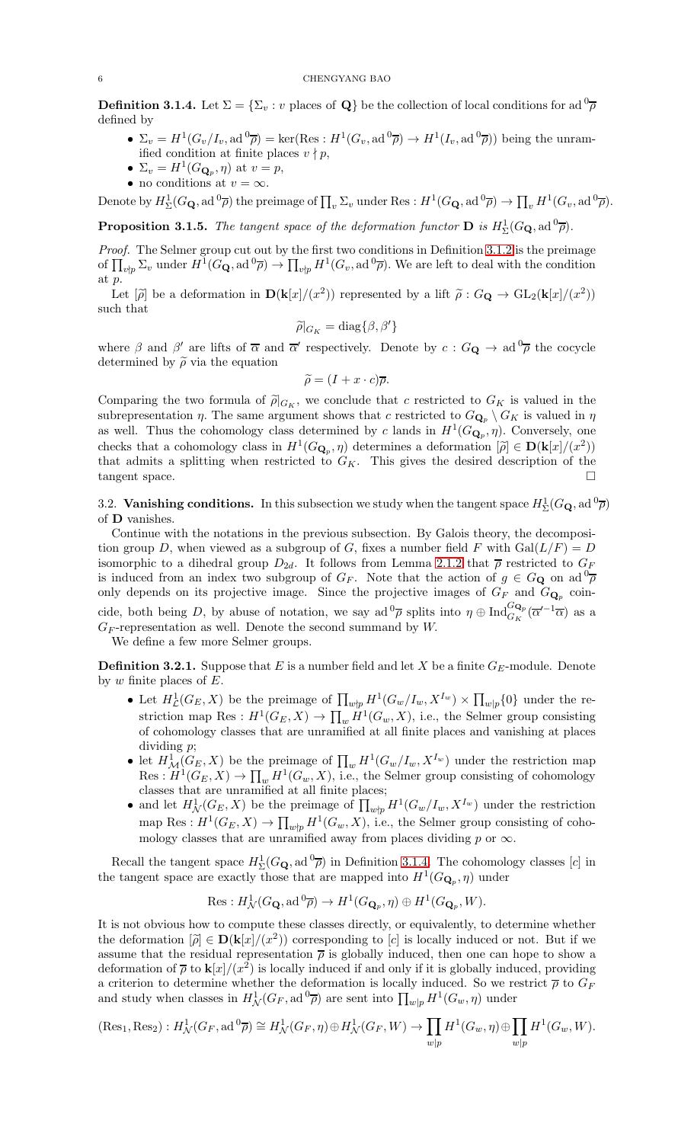<span id="page-5-0"></span>**Definition 3.1.4.** Let  $\Sigma = {\Sigma_v : v \text{ places of } \mathbf{Q}}$  be the collection of local conditions for ad  $\overline{\rho}$ defined by

- $\Sigma_v = H^1(G_v/I_v, \text{ad}^0\overline{\rho}) = \text{ker}(\text{Res}: H^1(G_v, \text{ad}^0\overline{\rho}) \to H^1(I_v, \text{ad}^0\overline{\rho}))$  being the unramified condition at finite places  $v \nmid p$ ,
- $\Sigma_v = H^1(G_{\mathbf{Q}_p}, \eta)$  at  $v = p$ ,
- no conditions at  $v = \infty$ .

Denote by  $H^1_{\Sigma}(G_{\mathbf{Q}}, \mathrm{ad}^0 \overline{\rho})$  the preimage of  $\prod_v \Sigma_v$  under Res :  $H^1(G_{\mathbf{Q}}, \mathrm{ad}^0 \overline{\rho}) \to \prod_v H^1(G_v, \mathrm{ad}^0 \overline{\rho})$ .

**Proposition 3.1.5.** The tangent space of the deformation functor  $\mathbf{D}$  is  $H^1_{\Sigma}(G_{\mathbf{Q}}, \mathrm{ad}^0\overline{\rho})$ .

Proof. The Selmer group cut out by the first two conditions in Definition [3.1.2](#page-4-0) is the preimage of  $\prod_{v\nmid p} \Sigma_v$  under  $H^1(G_{\mathbf{Q}}, \mathrm{ad}^0 \overline{\rho}) \to \prod_{v\nmid p} H^1(G_v, \mathrm{ad}^0 \overline{\rho})$ . We are left to deal with the condition at p.

Let  $[\tilde{\rho}]$  be a deformation in  $\mathbf{D}(\mathbf{k}[x]/(x^2))$  represented by a lift  $\tilde{\rho}: G_{\mathbf{Q}} \to GL_2(\mathbf{k}[x]/(x^2))$ such that

$$
\widetilde{\rho}|_{G_K} = \text{diag}\{\beta, \beta'\}
$$

where  $\beta$  and  $\beta'$  are lifts of  $\overline{\alpha}$  and  $\overline{\alpha}'$  respectively. Denote by  $c : G_{\mathbf{Q}} \to \text{ad}^0\overline{\rho}$  the cocycle determined by  $\tilde{\rho}$  via the equation

$$
\widetilde{\rho} = (I + x \cdot c)\overline{\rho}.
$$

Comparing the two formula of  $\tilde{\rho}|_{G_K}$ , we conclude that c restricted to  $G_K$  is valued in the subrepresentation  $\eta$ . The same argument shows that c restricted to  $G_{\mathbf{Q}_p} \setminus G_K$  is valued in  $\eta$ as well. Thus the cohomology class determined by c lands in  $H^1(G_{\mathbf{Q}_p}, \eta)$ . Conversely, one checks that a cohomology class in  $H^1(G_{\mathbf{Q}_p}, \eta)$  determines a deformation  $[\tilde{\rho}] \in \mathbf{D}(\mathbf{k}[x]/(x^2))$ that admits a splitting when restricted to  $G_K$ . This gives the desired description of the tangent space.

3.2. Vanishing conditions. In this subsection we study when the tangent space  $H^1_\Sigma(G_\mathbf{Q}, \mathrm{ad}^0\overline{\rho})$ of D vanishes.

Continue with the notations in the previous subsection. By Galois theory, the decomposition group D, when viewed as a subgroup of G, fixes a number field F with  $Gal(L/F) = D$ isomorphic to a dihedral group  $D_{2d}$ . It follows from Lemma [2.1.2](#page-1-2) that  $\bar{\rho}$  restricted to  $G_F$ is induced from an index two subgroup of  $G_F$ . Note that the action of  $g \in G_Q$  on ad  $^0\overline{\rho}$ only depends on its projective image. Since the projective images of  $G_F$  and  $G_{\mathbf{Q}_p}$  coincide, both being D, by abuse of notation, we say ad  ${}^0\overline{\rho}$  splits into  $\eta \oplus \text{Ind}_{G_K}^{G_{\mathbf{Q}_p}}(\overline{\alpha}^{\prime-1}\overline{\alpha})$  as a

 $G_F$ -representation as well. Denote the second summand by W. We define a few more Selmer groups.

<span id="page-5-1"></span>**Definition 3.2.1.** Suppose that E is a number field and let X be a finite  $G_E$ -module. Denote by  $w$  finite places of  $E$ .

- Let  $H^1_{\mathcal{L}}(G_E, X)$  be the preimage of  $\prod_{w \nmid p} H^1(G_w/I_w, X^{I_w}) \times \prod_{w \mid p} \{0\}$  under the restriction map Res :  $H^1(G_E, X) \to \prod_w H^1(G_w, X)$ , i.e., the Selmer group consisting of cohomology classes that are unramified at all finite places and vanishing at places dividing p;
- let  $H^1_{\mathcal{M}}(G_E, X)$  be the preimage of  $\prod_w H^1(G_w/I_w, X^{I_w})$  under the restriction map  $\text{Res}: H^1(G_E, X) \to \prod_{w} H^1(G_w, X)$ , i.e., the Selmer group consisting of cohomology classes that are unramified at all finite places;
- and let  $H^1_{\mathcal{N}}(G_E, X)$  be the preimage of  $\prod_{w \nmid p} H^1(G_w/I_w, X^{I_w})$  under the restriction map Res :  $H^1(G_E, X) \to \prod_{w \nmid p} H^1(G_w, X)$ , i.e., the Selmer group consisting of cohomology classes that are unramified away from places dividing  $p$  or  $\infty$ .

Recall the tangent space  $H^1_\Sigma(G_{\mathbf{Q}}, \text{ad}^0\overline{\rho})$  in Definition [3.1.4.](#page-5-0) The cohomology classes [c] in the tangent space are exactly those that are mapped into  $H^1(G_{\mathbf{Q}_p}, \eta)$  under

Res: 
$$
H^1_{\mathcal{N}}(G_{\mathbf{Q}}, \mathrm{ad}^0 \overline{\rho}) \to H^1(G_{\mathbf{Q}_p}, \eta) \oplus H^1(G_{\mathbf{Q}_p}, W).
$$

It is not obvious how to compute these classes directly, or equivalently, to determine whether the deformation  $[\tilde{\rho}] \in \mathbf{D}(\mathbf{k}[x]/(x^2))$  corresponding to [c] is locally induced or not. But if we assume that the residual representation  $\bar{\rho}$  is globally induced, then one can hope to show a deformation of  $\bar{\rho}$  to  $\mathbf{k}[x]/(x^2)$  is locally induced if and only if it is globally induced, providing a criterion to determine whether the deformation is locally induced. So we restrict  $\bar{\rho}$  to  $G_F$ and study when classes in  $H^1_{\mathcal{N}}(G_F, \mathrm{ad}^0\overline{\rho})$  are sent into  $\prod_{w|p}^{\infty}H^1(G_w, \eta)$  under

$$
(\text{Res}_1, \text{Res}_2) : H^1_{\mathcal{N}}(G_F, \text{ad}^0 \overline{\rho}) \cong H^1_{\mathcal{N}}(G_F, \eta) \oplus H^1_{\mathcal{N}}(G_F, W) \to \prod_{w|p} H^1(G_w, \eta) \oplus \prod_{w|p} H^1(G_w, W).
$$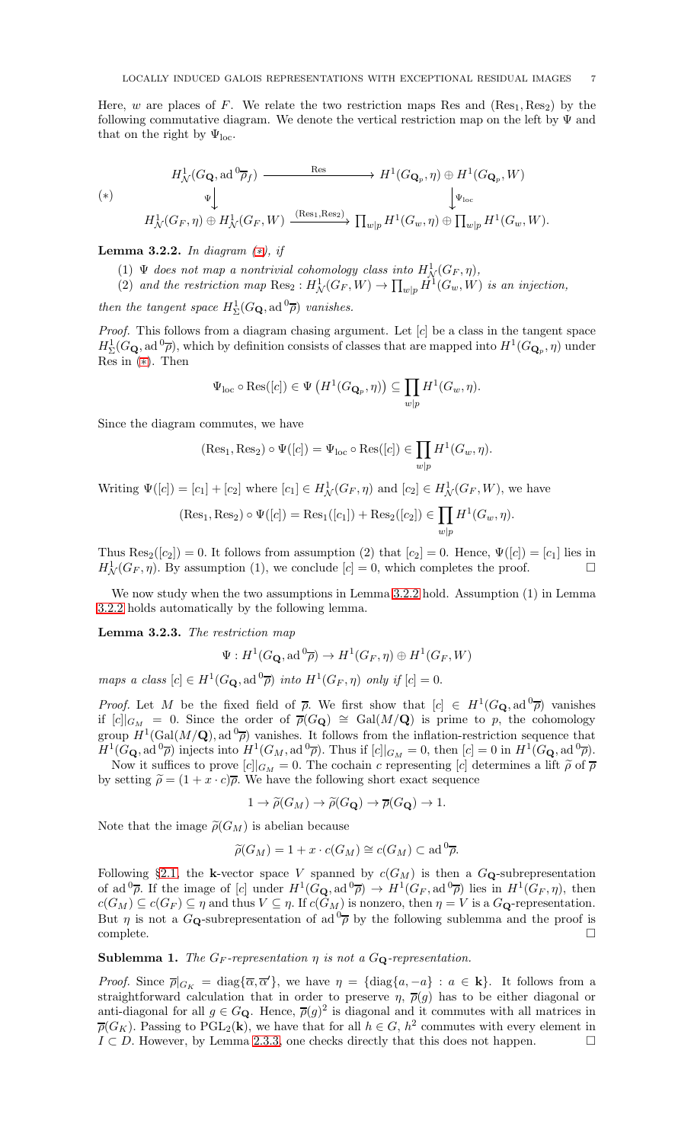Here, w are places of F. We relate the two restriction maps Res and  $(Res<sub>1</sub>, Res<sub>2</sub>)$  by the following commutative diagram. We denote the vertical restriction map on the left by  $\Psi$  and that on the right by  $\Psi_{\text{loc}}$ .

<span id="page-6-0"></span>
$$
(*)\qquad H^1_{\mathcal{N}}(G_{\mathbf{Q}}, \mathrm{ad}^0\overline{\rho}_f) \xrightarrow{\mathrm{Res}} H^1(G_{\mathbf{Q}_p}, \eta) \oplus H^1(G_{\mathbf{Q}_p}, W)
$$
  

$$
(*)\qquad \qquad \downarrow \qquad \qquad \downarrow \qquad \qquad \downarrow \qquad \qquad \downarrow \qquad \qquad \downarrow \qquad \qquad \downarrow \qquad \qquad \downarrow \qquad \qquad \downarrow \qquad \qquad \downarrow \qquad \qquad \downarrow \qquad \qquad \downarrow \qquad \qquad \downarrow \qquad \qquad \downarrow \qquad \qquad \downarrow \qquad \qquad \downarrow \qquad \qquad \downarrow \qquad \qquad \downarrow \qquad \qquad \downarrow \qquad \qquad \downarrow \qquad \qquad \downarrow \qquad \qquad \downarrow \qquad \qquad \downarrow \qquad \qquad \downarrow \qquad \downarrow \qquad \qquad \downarrow \qquad \downarrow \qquad \downarrow \qquad \qquad \downarrow \qquad \downarrow \qquad \qquad \downarrow \qquad \downarrow \qquad \downarrow \qquad \qquad \downarrow \qquad \downarrow \qquad \qquad \downarrow \qquad \downarrow \qquad \downarrow \qquad \downarrow \qquad \downarrow \qquad \downarrow \qquad \downarrow \qquad \downarrow \qquad \downarrow \qquad \downarrow \qquad \downarrow \qquad \downarrow \qquad \downarrow \qquad \downarrow \qquad \downarrow \qquad \downarrow \qquad \downarrow \qquad \downarrow \qquad \downarrow \qquad \downarrow \qquad \downarrow \qquad \downarrow \qquad \downarrow \qquad \downarrow \qquad \downarrow \qquad \downarrow \qquad \downarrow \qquad \downarrow \qquad \downarrow \qquad \downarrow \qquad \downarrow \qquad \downarrow \qquad \downarrow \qquad \downarrow \qquad \downarrow \qquad \downarrow \qquad \downarrow \qquad \downarrow \qquad \downarrow \qquad \downarrow \qquad \downarrow \qquad \downarrow \qquad \downarrow \qquad \downarrow \qquad \downarrow \qquad \downarrow \qquad \downarrow \qquad \downarrow \qquad \downarrow \qquad \downarrow \qquad \downarrow \qquad \downarrow \qquad \downarrow \qquad \downarrow \qquad \downarrow \qquad \downarrow \qquad \downarrow \qquad \downarrow \qquad \downarrow \qquad \downarrow \qquad \downarrow \qquad \downarrow \qquad \downarrow \qquad
$$

<span id="page-6-1"></span>Lemma 3.2.2. In diagram  $(*),$  if

(1)  $\Psi$  does not map a nontrivial cohomology class into  $H^1_{\mathcal{N}}(G_F, \eta)$ ,

(2) and the restriction map  $\text{Res}_2: H^1_{\mathcal{N}}(G_F, W) \to \prod_{w|p} H^1(G_w, W)$  is an injection,

then the tangent space  $H^1_\Sigma(G_{\mathbf{Q}}, \mathrm{ad}^0\overline{\rho})$  vanishes.

*Proof.* This follows from a diagram chasing argument. Let  $[c]$  be a class in the tangent space  $H^1_\Sigma(G_{\mathbf{Q}}, \mathrm{ad}^0\overline{\rho})$ , which by definition consists of classes that are mapped into  $H^1(G_{\mathbf{Q}_p}, \eta)$  under Res in ([∗](#page-6-0)). Then

$$
\Psi_{\text{loc}} \circ \text{Res}([c]) \in \Psi \left( H^1(G_{\mathbf{Q}_p}, \eta) \right) \subseteq \prod_{w|p} H^1(G_w, \eta).
$$

Since the diagram commutes, we have

$$
(\text{Res}_1, \text{Res}_2) \circ \Psi([c]) = \Psi_{\text{loc}} \circ \text{Res}([c]) \in \prod_{w|p} H^1(G_w, \eta).
$$

Writing  $\Psi([c]) = [c_1] + [c_2]$  where  $[c_1] \in H^1_{\mathcal{N}}(G_F, \eta)$  and  $[c_2] \in H^1_{\mathcal{N}}(G_F, W)$ , we have

$$
(\text{Res}_1, \text{Res}_2) \circ \Psi([c]) = \text{Res}_1([c_1]) + \text{Res}_2([c_2]) \in \prod_{w|p} H^1(G_w, \eta).
$$

Thus  $\text{Res}_2([c_2]) = 0$ . It follows from assumption (2) that  $[c_2] = 0$ . Hence,  $\Psi([c]) = [c_1]$  lies in  $H^1_{\mathcal{N}}(G_F, \eta)$ . By assumption (1), we conclude  $[c] = 0$ , which completes the proof.

We now study when the two assumptions in Lemma [3.2.2](#page-6-1) hold. Assumption (1) in Lemma [3.2.2](#page-6-1) holds automatically by the following lemma.

<span id="page-6-2"></span>Lemma 3.2.3. The restriction map

$$
\Psi: H^1(G_{\mathbf{Q}}, \mathrm{ad}^0 \overline{\rho}) \to H^1(G_F, \eta) \oplus H^1(G_F, W)
$$

maps a class  $[c] \in H^1(G_{\mathbf{Q}}, \text{ad}^0 \overline{\rho})$  into  $H^1(G_F, \eta)$  only if  $[c] = 0$ .

*Proof.* Let M be the fixed field of  $\overline{\rho}$ . We first show that  $[c] \in H^1(G_{\mathbf{Q}}, \text{ad}^0\overline{\rho})$  vanishes if  $[c]|_{G_M} = 0$ . Since the order of  $\overline{\rho}(G_{\mathbf{Q}}) \cong Gal(M/\mathbf{Q})$  is prime to p, the cohomology group  $H^1(\text{Gal}(M/\mathbf{Q}), \text{ad}\,^0\overline{\rho})$  vanishes. It follows from the inflation-restriction sequence that  $H^1(G_{\mathbf{Q}}, \text{ad}^0\overline{\rho})$  injects into  $H^1(G_M, \text{ad}^0\overline{\rho})$ . Thus if  $[c]|_{G_M}=0$ , then  $[c]=0$  in  $H^1(G_{\mathbf{Q}}, \text{ad}^0\overline{\rho})$ . Now it suffices to prove  $[c]|_{G_M} = 0$ . The cochain c representing  $[c]$  determines a lift  $\tilde{\rho}$  of  $\overline{\rho}$ 

by setting  $\tilde{\rho} = (1 + x \cdot c)\overline{\rho}$ . We have the following short exact sequence

$$
1 \to \widetilde{\rho}(G_M) \to \widetilde{\rho}(G_{\mathbf{Q}}) \to \overline{\rho}(G_{\mathbf{Q}}) \to 1.
$$

Note that the image  $\tilde{\rho}(G_M)$  is abelian because

$$
\widetilde{\rho}(G_M) = 1 + x \cdot c(G_M) \cong c(G_M) \subset \mathrm{ad}^0 \overline{\rho}.
$$

Following §[2.1,](#page-2-1) the k-vector space V spanned by  $c(G_M)$  is then a  $G_Q$ -subrepresentation of ad  ${}^{0}\overline{\rho}$ . If the image of [c] under  $H^1(G_{\mathbf{Q}}, \text{ad } {}^{0}\overline{\rho}) \to H^1(G_F, \text{ad } {}^{0}\overline{\rho})$  lies in  $H^1(G_F, \eta)$ , then  $c(G_M) \subseteq c(G_F) \subseteq \eta$  and thus  $V \subseteq \eta$ . If  $c(G_M)$  is nonzero, then  $\eta = V$  is a  $G_Q$ -representation. But  $\eta$  is not a G<sub>Q</sub>-subrepresentation of ad  $\overline{\rho}$  by the following sublemma and the proof is complete. □

**Sublemma 1.** The  $G_F$ -representation  $\eta$  is not a  $G_Q$ -representation.

*Proof.* Since  $\overline{\rho}|_{G_K} = \text{diag}\{\overline{\alpha}, \overline{\alpha'}\}\$ , we have  $\eta = {\text{diag}\{a, -a\}} : a \in \mathbf{k}\}$ . It follows from a straightforward calculation that in order to preserve  $\eta$ ,  $\overline{\rho}(g)$  has to be either diagonal or anti-diagonal for all  $g \in G_{\mathbf{Q}}$ . Hence,  $\overline{\rho}(g)^2$  is diagonal and it commutes with all matrices in  $\overline{\rho}(G_K)$ . Passing to PGL<sub>2</sub>(k), we have that for all  $h \in G$ ,  $h^2$  commutes with every element in  $I \subset D$ . However, by Lemma [2.3.3,](#page-3-1) one checks directly that this does not happen.  $\Box$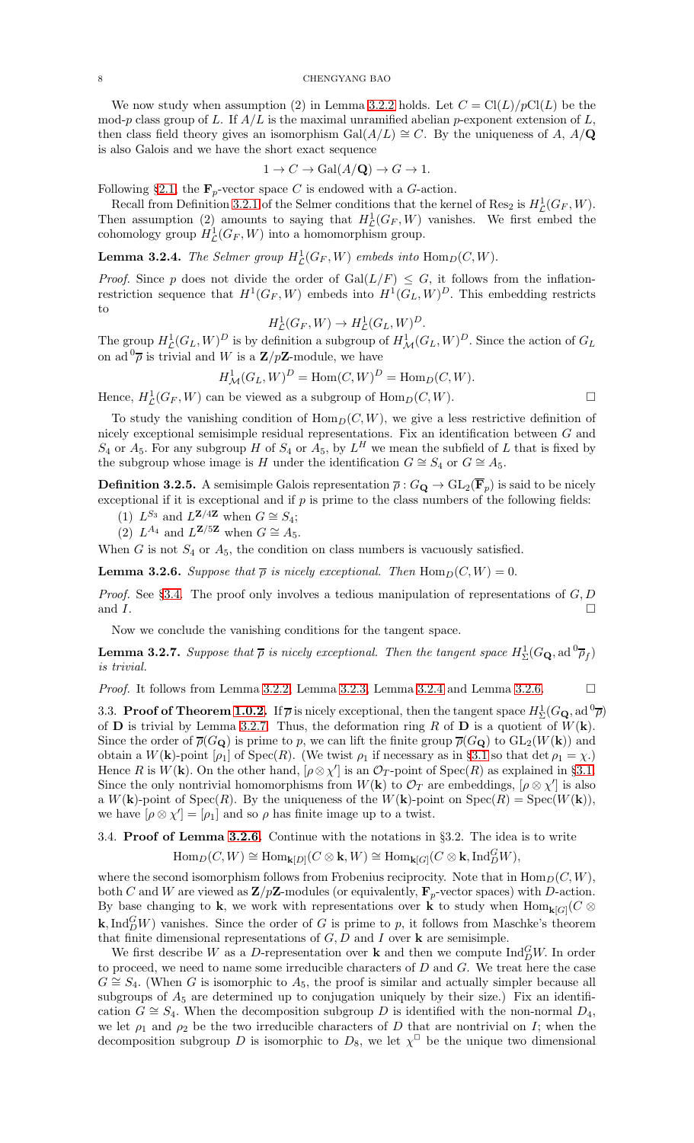We now study when assumption (2) in Lemma [3.2.2](#page-6-1) holds. Let  $C = Cl(L)/pCl(L)$  be the mod-p class group of L. If  $A/L$  is the maximal unramified abelian p-exponent extension of L, then class field theory gives an isomorphism Gal $(A/L) \cong C$ . By the uniqueness of A,  $A/\mathbf{Q}$ is also Galois and we have the short exact sequence

$$
1 \to C \to \text{Gal}(A/\mathbf{Q}) \to G \to 1.
$$

Following §[2.1,](#page-2-1) the  $\mathbf{F}_p$ -vector space C is endowed with a G-action.

Recall from Definition [3.2.1](#page-5-1) of the Selmer conditions that the kernel of Res<sub>2</sub> is  $H^1_{\mathcal{L}}(G_F, W)$ . Then assumption (2) amounts to saying that  $H^1_{\mathcal{L}}(G_F, W)$  vanishes. We first embed the cohomology group  $H^1_{\mathcal{L}}(G_F, W)$  into a homomorphism group.

<span id="page-7-2"></span>**Lemma 3.2.4.** The Selmer group  $H^1_{\mathcal{L}}(G_F, W)$  embeds into  $\text{Hom}_D(C, W)$ .

*Proof.* Since p does not divide the order of  $Gal(L/F) \leq G$ , it follows from the inflationrestriction sequence that  $H^1(G_F, W)$  embeds into  $H^1(G_L, W)^D$ . This embedding restricts to

$$
H^1_{\mathcal{L}}(G_F, W) \to H^1_{\mathcal{L}}(G_L, W)^D.
$$

The group  $H^1_{\mathcal{L}}(G_L, W)^D$  is by definition a subgroup of  $H^1_{\mathcal{M}}(G_L, W)^D$ . Since the action of  $G_L$ on ad  $\sqrt{p}$  is trivial and W is a  $\mathbf{Z}/p\mathbf{Z}$ -module, we have

$$
H^1_{\mathcal{M}}(G_L, W)^D = \text{Hom}(C, W)^D = \text{Hom}_D(C, W).
$$

Hence,  $H^1_{\mathcal{L}}(G_F, W)$  can be viewed as a subgroup of  $\text{Hom}_D(C, W)$ .

To study the vanishing condition of  $\text{Hom}_D(C, W)$ , we give a less restrictive definition of nicely exceptional semisimple residual representations. Fix an identification between G and  $S_4$  or  $A_5$ . For any subgroup H of  $S_4$  or  $A_5$ , by  $L^H$  we mean the subfield of L that is fixed by the subgroup whose image is H under the identification  $G \cong S_4$  or  $G \cong A_5$ .

<span id="page-7-0"></span>**Definition 3.2.5.** A semisimple Galois representation  $\overline{\rho}: G_{\mathbf{Q}} \to GL_2(\overline{\mathbf{F}}_p)$  is said to be nicely exceptional if it is exceptional and if  $p$  is prime to the class numbers of the following fields:

- (1)  $L^{S_3}$  and  $L^{\mathbf{Z}/4\mathbf{Z}}$  when  $G \cong S_4$ ;
- (2)  $L^{A_4}$  and  $L^{\mathbf{Z}/5\mathbf{Z}}$  when  $G \cong A_5$ .

When G is not  $S_4$  or  $A_5$ , the condition on class numbers is vacuously satisfied.

<span id="page-7-3"></span>**Lemma 3.2.6.** Suppose that  $\overline{\rho}$  is nicely exceptional. Then  $\text{Hom}_D(C, W) = 0$ .

*Proof.* See §[3.4.](#page-7-1) The proof only involves a tedious manipulation of representations of  $G, D$ and  $I$ .

Now we conclude the vanishing conditions for the tangent space.

<span id="page-7-4"></span>**Lemma 3.2.7.** Suppose that  $\overline{\rho}$  is nicely exceptional. Then the tangent space  $H^1_{\Sigma}(G_{\bf Q}, \text{ad}^0\overline{\rho}_f)$ is trivial.

*Proof.* It follows from Lemma [3.2.2,](#page-6-1) Lemma [3.2.3,](#page-6-2) Lemma [3.2.4](#page-7-2) and Lemma [3.2.6.](#page-7-3)  $\Box$ 

3.3. **Proof of Theorem [1.0.2.](#page-0-1)** If  $\overline{\rho}$  is nicely exceptional, then the tangent space  $H^1_{\Sigma}(G_{\mathbf{Q}}, \mathrm{ad}^0\overline{\rho})$ of **D** is trivial by Lemma [3.2.7.](#page-7-4) Thus, the deformation ring R of **D** is a quotient of  $W(\mathbf{k})$ . Since the order of  $\overline{\rho}(G_{\mathbf{Q}})$  is prime to p, we can lift the finite group  $\overline{\rho}(G_{\mathbf{Q}})$  to  $GL_2(W(\mathbf{k}))$  and obtain a  $W(\mathbf{k})$ -point  $[\rho_1]$  of  $Spec(R)$ . (We twist  $\rho_1$  if necessary as in §[3.1](#page-4-1) so that det  $\rho_1 = \chi$ .) Hence R is  $W(\mathbf{k})$ . On the other hand,  $[\rho \otimes \chi']$  is an  $\mathcal{O}_T$ -point of  $\text{Spec}(R)$  as explained in §[3.1.](#page-4-1) Since the only nontrivial homomorphisms from  $W(\mathbf{k})$  to  $\mathcal{O}_T$  are embeddings,  $[\rho \otimes \chi']$  is also a  $W(\mathbf{k})$ -point of  $Spec(R)$ . By the uniqueness of the  $W(\mathbf{k})$ -point on  $Spec(R) = Spec(W(\mathbf{k})),$ we have  $[\rho \otimes \chi'] = [\rho_1]$  and so  $\rho$  has finite image up to a twist.

<span id="page-7-1"></span>3.4. Proof of Lemma [3.2.6.](#page-7-3) Continue with the notations in §3.2. The idea is to write

$$
\operatorname{Hom}_{D}(C,W)\cong \operatorname{Hom}_{\mathbf{k}[D]}(C\otimes \mathbf{k},W)\cong \operatorname{Hom}_{\mathbf{k}[G]}(C\otimes \mathbf{k},\operatorname{Ind}_{D}^{G}W)
$$

where the second isomorphism follows from Frobenius reciprocity. Note that in  $\text{Hom}_D(C, W)$ , both C and W are viewed as  $\mathbf{Z}/p\mathbf{Z}$ -modules (or equivalently,  $\mathbf{F}_p$ -vector spaces) with D-action. By base changing to **k**, we work with representations over **k** to study when  $\text{Hom}_{\mathbf{k}[G]}(C \otimes$ **k**,  $\text{Ind}_{D}^{G}W$ ) vanishes. Since the order of G is prime to p, it follows from Maschke's theorem that finite dimensional representations of  $G, D$  and  $I$  over  $\bf{k}$  are semisimple.

We first describe W as a D-representation over **k** and then we compute  $\text{Ind}_{D}^{G}W$ . In order to proceed, we need to name some irreducible characters of  $D$  and  $G$ . We treat here the case  $G \cong S_4$ . (When G is isomorphic to  $A_5$ , the proof is similar and actually simpler because all subgroups of  $A_5$  are determined up to conjugation uniquely by their size.) Fix an identification  $G \cong S_4$ . When the decomposition subgroup D is identified with the non-normal  $D_4$ , we let  $\rho_1$  and  $\rho_2$  be the two irreducible characters of D that are nontrivial on I; when the decomposition subgroup D is isomorphic to  $D_8$ , we let  $\chi^{\Box}$  be the unique two dimensional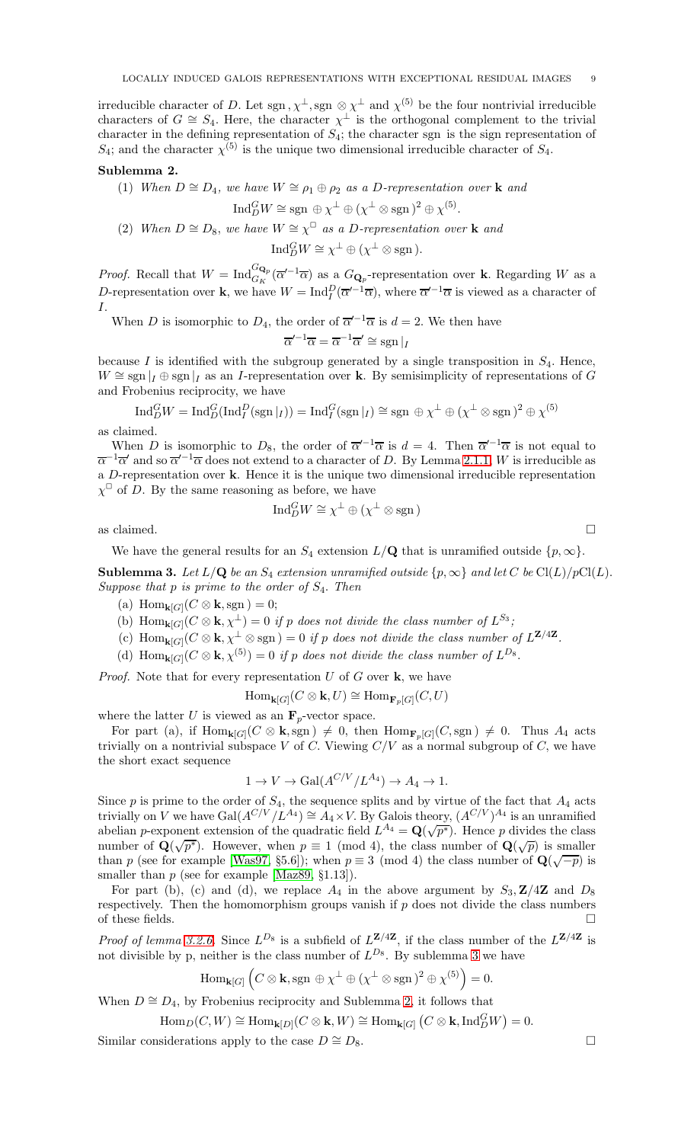irreducible character of D. Let sgn,  $\chi^{\perp}$ , sgn  $\otimes \chi^{\perp}$  and  $\chi^{(5)}$  be the four nontrivial irreducible characters of  $G \cong S_4$ . Here, the character  $\chi^{\perp}$  is the orthogonal complement to the trivial character in the defining representation of  $S_4$ ; the character sgn is the sign representation of  $S_4$ ; and the character  $\chi^{(5)}$  is the unique two dimensional irreducible character of  $S_4$ .

## <span id="page-8-1"></span>Sublemma 2.

(1) When  $D \cong D_4$ , we have  $W \cong \rho_1 \oplus \rho_2$  as a D-representation over **k** and  $\operatorname{Ind}_{D}^{G}W \cong \operatorname{sgn} \oplus \chi^{\perp} \oplus (\chi^{\perp} \otimes \operatorname{sgn})^{2} \oplus \chi^{(5)}.$ 

(2) When  $D \cong D_8$ , we have  $W \cong \chi^{\square}$  as a D-representation over **k** and

 $\mathrm{Ind}_{D}^{G}W \cong \chi^{\perp} \oplus (\chi^{\perp} \otimes \mathrm{sgn}).$ 

*Proof.* Recall that  $W = \text{Ind}_{G_K}^{G_{\mathbf{Q}_p}} (\overline{\alpha}^{r-1} \overline{\alpha})$  as a  $G_{\mathbf{Q}_p}$ -representation over **k**. Regarding W as a D-representation over **k**, we have  $W = \text{Ind}_{I}^{D}(\overline{\alpha}^{t-1}\overline{\alpha})$ , where  $\overline{\alpha}^{t-1}\overline{\alpha}$  is viewed as a character of I.

When D is isomorphic to  $D_4$ , the order of  $\overline{\alpha}^{\prime -1} \overline{\alpha}$  is  $d=2$ . We then have

$$
\overline{\alpha}^{\prime -1} \overline{\alpha} = \overline{\alpha}^{-1} \overline{\alpha}^{\prime} \cong \text{sgn}|_{I}
$$

because I is identified with the subgroup generated by a single transposition in  $S_4$ . Hence,  $W \cong \text{sgn} |I \oplus \text{sgn} |I \text{ as an } I\text{-representation over } \mathbf{k}$ . By semisimplicity of representations of G and Frobenius reciprocity, we have

$$
\operatorname{Ind}_{D}^{G} W = \operatorname{Ind}_{D}^{G} (\operatorname{Ind}_{I}^{D} (\operatorname{sgn} |_{I})) = \operatorname{Ind}_{I}^{G} (\operatorname{sgn} |_{I}) \cong \operatorname{sgn} \oplus \chi^{\perp} \oplus (\chi^{\perp} \otimes \operatorname{sgn})^{2} \oplus \chi^{(5)}
$$

as claimed.

When D is isomorphic to  $D_8$ , the order of  $\overline{\alpha}'^{-1}\overline{\alpha}$  is  $d=4$ . Then  $\overline{\alpha}'^{-1}\overline{\alpha}$  is not equal to  $\overline{\alpha}^{-1}\overline{\alpha}'$  and so  $\overline{\alpha}'^{-1}\overline{\alpha}$  does not extend to a character of D. By Lemma [2.1.1,](#page-1-0) W is irreducible as a D-representation over k. Hence it is the unique two dimensional irreducible representation  $\chi^{\Box}$  of D. By the same reasoning as before, we have

$$
\mathrm{Ind}_{D}^{G}W \cong \chi^{\perp} \oplus (\chi^{\perp} \otimes \mathrm{sgn})
$$

as claimed.  $\Box$ 

We have the general results for an  $S_4$  extension  $L/\mathbf{Q}$  that is unramified outside  $\{p,\infty\}$ .

<span id="page-8-0"></span>Sublemma 3. Let  $L/Q$  be an  $S_4$  extension unramified outside  $\{p, \infty\}$  and let C be Cl(L)/pCl(L). Suppose that  $p$  is prime to the order of  $S_4$ . Then

- (a)  $\text{Hom}_{\mathbf{k}[G]}(C \otimes \mathbf{k}, \text{sgn}) = 0;$
- (b)  $\text{Hom}_{\mathbf{k}[G]}(C \otimes \mathbf{k}, \chi^{\perp}) = 0$  if p does not divide the class number of  $L^{S_3}$ ;
- (c) Hom $_{\mathbf{k}[G]}(C \otimes \mathbf{k}, \chi^{\perp} \otimes \text{sgn}) = 0$  if p does not divide the class number of  $L^{\mathbf{Z}/4\mathbf{Z}}$ .
- (d) Hom<sub>k[G]</sub> $(C \otimes k, \chi^{(5)}) = 0$  if p does not divide the class number of  $L^{D_8}$ .

*Proof.* Note that for every representation  $U$  of  $G$  over  $\mathbf{k}$ , we have

$$
\mathrm{Hom}_{\mathbf{k}[G]}(C \otimes \mathbf{k}, U) \cong \mathrm{Hom}_{\mathbf{F}_p[G]}(C, U)
$$

where the latter U is viewed as an  $\mathbf{F}_p$ -vector space.

For part (a), if  $\text{Hom}_{\mathbf{k}[G]}(C \otimes \mathbf{k}, \text{sgn}) \neq 0$ , then  $\text{Hom}_{\mathbf{F}_p[G]}(C, \text{sgn}) \neq 0$ . Thus  $A_4$  acts trivially on a nontrivial subspace V of C. Viewing  $C/V$  as a normal subgroup of C, we have the short exact sequence

$$
1 \to V \to \text{Gal}(A^{C/V}/L^{A_4}) \to A_4 \to 1.
$$

Since  $p$  is prime to the order of  $S_4$ , the sequence splits and by virtue of the fact that  $A_4$  acts trivially on V we have  $Gal(A^{C/V}/L^{A_4}) \cong A_4 \times V$ . By Galois theory,  $(A^{C/V})^{A_4}$  is an unramified abelian p-exponent extension of the quadratic field  $L^{A_4} = \mathbf{Q}(\sqrt{p^*})$ . Hence p divides the class number of  $\mathbf{Q}(\sqrt{p^*})$ . However, when  $p \equiv 1 \pmod{4}$ , the class number of  $\mathbf{Q}(\sqrt{p})$  is smaller than p (see for example [\[Was97,](#page-9-11) §5.6]); when  $p \equiv 3 \pmod{4}$  the class number of  $\mathbf{Q}(\sqrt{-p})$  is smaller than  $p$  (see for example [\[Maz89,](#page-9-10) §1.13]).

For part (b), (c) and (d), we replace  $A_4$  in the above argument by  $S_3$ ,  $\mathbb{Z}/4\mathbb{Z}$  and  $D_8$ respectively. Then the homomorphism groups vanish if  $p$  does not divide the class numbers of these fields.  $\Box$ 

*Proof of lemma [3.2.6.](#page-7-3)* Since  $L^{D_8}$  is a subfield of  $L^{Z/4Z}$ , if the class number of the  $L^{Z/4Z}$  is not divisible by p, neither is the class number of  $L^{D_8}$ . By sublemma [3](#page-8-0) we have

$$
\mathrm{Hom}_{\mathbf{k}[G]}\left(C \otimes \mathbf{k}, \mathrm{sgn} \oplus \chi^{\perp} \oplus (\chi^{\perp} \otimes \mathrm{sgn})^2 \oplus \chi^{(5)}\right) = 0.
$$

When  $D \cong D_4$ , by Frobenius reciprocity and Sublemma [2,](#page-8-1) it follows that

$$
\operatorname{Hom}_D(C,W)\cong \operatorname{Hom}_{\mathbf{k}[D]}(C\otimes \mathbf{k},W)\cong \operatorname{Hom}_{\mathbf{k}[G]}\left(C\otimes \mathbf{k},\operatorname{Ind}_D^GW\right)=0.
$$

Similar considerations apply to the case  $D \cong D_8$ .  $□$